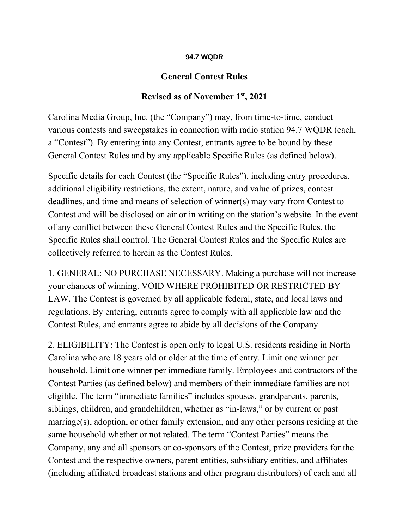## **94.7 WQDR**

## **General Contest Rules**

## **Revised as of November 1st, 2021**

Carolina Media Group, Inc. (the "Company") may, from time-to-time, conduct various contests and sweepstakes in connection with radio station 94.7 WQDR (each, a "Contest"). By entering into any Contest, entrants agree to be bound by these General Contest Rules and by any applicable Specific Rules (as defined below).

Specific details for each Contest (the "Specific Rules"), including entry procedures, additional eligibility restrictions, the extent, nature, and value of prizes, contest deadlines, and time and means of selection of winner(s) may vary from Contest to Contest and will be disclosed on air or in writing on the station's website. In the event of any conflict between these General Contest Rules and the Specific Rules, the Specific Rules shall control. The General Contest Rules and the Specific Rules are collectively referred to herein as the Contest Rules.

1. GENERAL: NO PURCHASE NECESSARY. Making a purchase will not increase your chances of winning. VOID WHERE PROHIBITED OR RESTRICTED BY LAW. The Contest is governed by all applicable federal, state, and local laws and regulations. By entering, entrants agree to comply with all applicable law and the Contest Rules, and entrants agree to abide by all decisions of the Company.

2. ELIGIBILITY: The Contest is open only to legal U.S. residents residing in North Carolina who are 18 years old or older at the time of entry. Limit one winner per household. Limit one winner per immediate family. Employees and contractors of the Contest Parties (as defined below) and members of their immediate families are not eligible. The term "immediate families" includes spouses, grandparents, parents, siblings, children, and grandchildren, whether as "in-laws," or by current or past marriage(s), adoption, or other family extension, and any other persons residing at the same household whether or not related. The term "Contest Parties" means the Company, any and all sponsors or co-sponsors of the Contest, prize providers for the Contest and the respective owners, parent entities, subsidiary entities, and affiliates (including affiliated broadcast stations and other program distributors) of each and all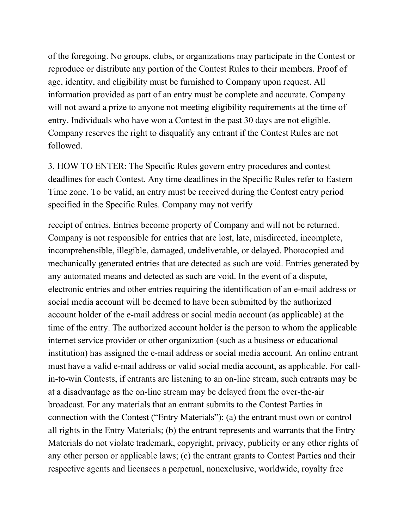of the foregoing. No groups, clubs, or organizations may participate in the Contest or reproduce or distribute any portion of the Contest Rules to their members. Proof of age, identity, and eligibility must be furnished to Company upon request. All information provided as part of an entry must be complete and accurate. Company will not award a prize to anyone not meeting eligibility requirements at the time of entry. Individuals who have won a Contest in the past 30 days are not eligible. Company reserves the right to disqualify any entrant if the Contest Rules are not followed.

3. HOW TO ENTER: The Specific Rules govern entry procedures and contest deadlines for each Contest. Any time deadlines in the Specific Rules refer to Eastern Time zone. To be valid, an entry must be received during the Contest entry period specified in the Specific Rules. Company may not verify

receipt of entries. Entries become property of Company and will not be returned. Company is not responsible for entries that are lost, late, misdirected, incomplete, incomprehensible, illegible, damaged, undeliverable, or delayed. Photocopied and mechanically generated entries that are detected as such are void. Entries generated by any automated means and detected as such are void. In the event of a dispute, electronic entries and other entries requiring the identification of an e-mail address or social media account will be deemed to have been submitted by the authorized account holder of the e-mail address or social media account (as applicable) at the time of the entry. The authorized account holder is the person to whom the applicable internet service provider or other organization (such as a business or educational institution) has assigned the e-mail address or social media account. An online entrant must have a valid e-mail address or valid social media account, as applicable. For callin-to-win Contests, if entrants are listening to an on-line stream, such entrants may be at a disadvantage as the on-line stream may be delayed from the over-the-air broadcast. For any materials that an entrant submits to the Contest Parties in connection with the Contest ("Entry Materials"): (a) the entrant must own or control all rights in the Entry Materials; (b) the entrant represents and warrants that the Entry Materials do not violate trademark, copyright, privacy, publicity or any other rights of any other person or applicable laws; (c) the entrant grants to Contest Parties and their respective agents and licensees a perpetual, nonexclusive, worldwide, royalty free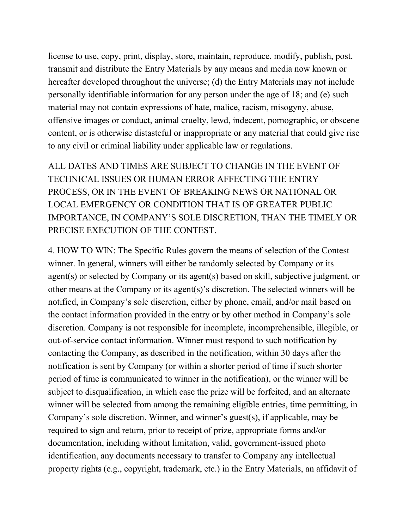license to use, copy, print, display, store, maintain, reproduce, modify, publish, post, transmit and distribute the Entry Materials by any means and media now known or hereafter developed throughout the universe; (d) the Entry Materials may not include personally identifiable information for any person under the age of 18; and (e) such material may not contain expressions of hate, malice, racism, misogyny, abuse, offensive images or conduct, animal cruelty, lewd, indecent, pornographic, or obscene content, or is otherwise distasteful or inappropriate or any material that could give rise to any civil or criminal liability under applicable law or regulations.

ALL DATES AND TIMES ARE SUBJECT TO CHANGE IN THE EVENT OF TECHNICAL ISSUES OR HUMAN ERROR AFFECTING THE ENTRY PROCESS, OR IN THE EVENT OF BREAKING NEWS OR NATIONAL OR LOCAL EMERGENCY OR CONDITION THAT IS OF GREATER PUBLIC IMPORTANCE, IN COMPANY'S SOLE DISCRETION, THAN THE TIMELY OR PRECISE EXECUTION OF THE CONTEST.

4. HOW TO WIN: The Specific Rules govern the means of selection of the Contest winner. In general, winners will either be randomly selected by Company or its agent(s) or selected by Company or its agent(s) based on skill, subjective judgment, or other means at the Company or its agent(s)'s discretion. The selected winners will be notified, in Company's sole discretion, either by phone, email, and/or mail based on the contact information provided in the entry or by other method in Company's sole discretion. Company is not responsible for incomplete, incomprehensible, illegible, or out-of-service contact information. Winner must respond to such notification by contacting the Company, as described in the notification, within 30 days after the notification is sent by Company (or within a shorter period of time if such shorter period of time is communicated to winner in the notification), or the winner will be subject to disqualification, in which case the prize will be forfeited, and an alternate winner will be selected from among the remaining eligible entries, time permitting, in Company's sole discretion. Winner, and winner's guest(s), if applicable, may be required to sign and return, prior to receipt of prize, appropriate forms and/or documentation, including without limitation, valid, government-issued photo identification, any documents necessary to transfer to Company any intellectual property rights (e.g., copyright, trademark, etc.) in the Entry Materials, an affidavit of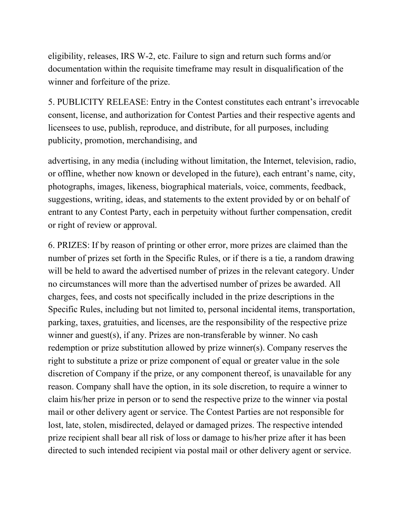eligibility, releases, IRS W-2, etc. Failure to sign and return such forms and/or documentation within the requisite timeframe may result in disqualification of the winner and forfeiture of the prize.

5. PUBLICITY RELEASE: Entry in the Contest constitutes each entrant's irrevocable consent, license, and authorization for Contest Parties and their respective agents and licensees to use, publish, reproduce, and distribute, for all purposes, including publicity, promotion, merchandising, and

advertising, in any media (including without limitation, the Internet, television, radio, or offline, whether now known or developed in the future), each entrant's name, city, photographs, images, likeness, biographical materials, voice, comments, feedback, suggestions, writing, ideas, and statements to the extent provided by or on behalf of entrant to any Contest Party, each in perpetuity without further compensation, credit or right of review or approval.

6. PRIZES: If by reason of printing or other error, more prizes are claimed than the number of prizes set forth in the Specific Rules, or if there is a tie, a random drawing will be held to award the advertised number of prizes in the relevant category. Under no circumstances will more than the advertised number of prizes be awarded. All charges, fees, and costs not specifically included in the prize descriptions in the Specific Rules, including but not limited to, personal incidental items, transportation, parking, taxes, gratuities, and licenses, are the responsibility of the respective prize winner and guest(s), if any. Prizes are non-transferable by winner. No cash redemption or prize substitution allowed by prize winner(s). Company reserves the right to substitute a prize or prize component of equal or greater value in the sole discretion of Company if the prize, or any component thereof, is unavailable for any reason. Company shall have the option, in its sole discretion, to require a winner to claim his/her prize in person or to send the respective prize to the winner via postal mail or other delivery agent or service. The Contest Parties are not responsible for lost, late, stolen, misdirected, delayed or damaged prizes. The respective intended prize recipient shall bear all risk of loss or damage to his/her prize after it has been directed to such intended recipient via postal mail or other delivery agent or service.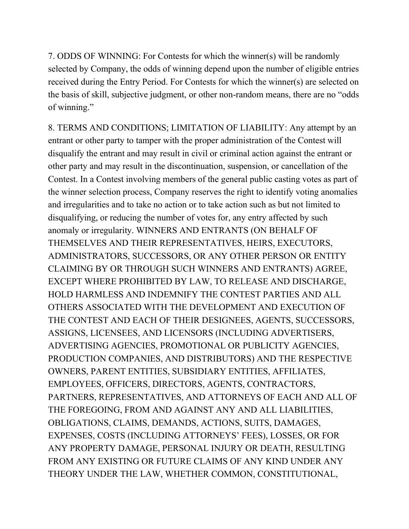7. ODDS OF WINNING: For Contests for which the winner(s) will be randomly selected by Company, the odds of winning depend upon the number of eligible entries received during the Entry Period. For Contests for which the winner(s) are selected on the basis of skill, subjective judgment, or other non-random means, there are no "odds of winning."

8. TERMS AND CONDITIONS; LIMITATION OF LIABILITY: Any attempt by an entrant or other party to tamper with the proper administration of the Contest will disqualify the entrant and may result in civil or criminal action against the entrant or other party and may result in the discontinuation, suspension, or cancellation of the Contest. In a Contest involving members of the general public casting votes as part of the winner selection process, Company reserves the right to identify voting anomalies and irregularities and to take no action or to take action such as but not limited to disqualifying, or reducing the number of votes for, any entry affected by such anomaly or irregularity. WINNERS AND ENTRANTS (ON BEHALF OF THEMSELVES AND THEIR REPRESENTATIVES, HEIRS, EXECUTORS, ADMINISTRATORS, SUCCESSORS, OR ANY OTHER PERSON OR ENTITY CLAIMING BY OR THROUGH SUCH WINNERS AND ENTRANTS) AGREE, EXCEPT WHERE PROHIBITED BY LAW, TO RELEASE AND DISCHARGE, HOLD HARMLESS AND INDEMNIFY THE CONTEST PARTIES AND ALL OTHERS ASSOCIATED WITH THE DEVELOPMENT AND EXECUTION OF THE CONTEST AND EACH OF THEIR DESIGNEES, AGENTS, SUCCESSORS, ASSIGNS, LICENSEES, AND LICENSORS (INCLUDING ADVERTISERS, ADVERTISING AGENCIES, PROMOTIONAL OR PUBLICITY AGENCIES, PRODUCTION COMPANIES, AND DISTRIBUTORS) AND THE RESPECTIVE OWNERS, PARENT ENTITIES, SUBSIDIARY ENTITIES, AFFILIATES, EMPLOYEES, OFFICERS, DIRECTORS, AGENTS, CONTRACTORS, PARTNERS, REPRESENTATIVES, AND ATTORNEYS OF EACH AND ALL OF THE FOREGOING, FROM AND AGAINST ANY AND ALL LIABILITIES, OBLIGATIONS, CLAIMS, DEMANDS, ACTIONS, SUITS, DAMAGES, EXPENSES, COSTS (INCLUDING ATTORNEYS' FEES), LOSSES, OR FOR ANY PROPERTY DAMAGE, PERSONAL INJURY OR DEATH, RESULTING FROM ANY EXISTING OR FUTURE CLAIMS OF ANY KIND UNDER ANY THEORY UNDER THE LAW, WHETHER COMMON, CONSTITUTIONAL,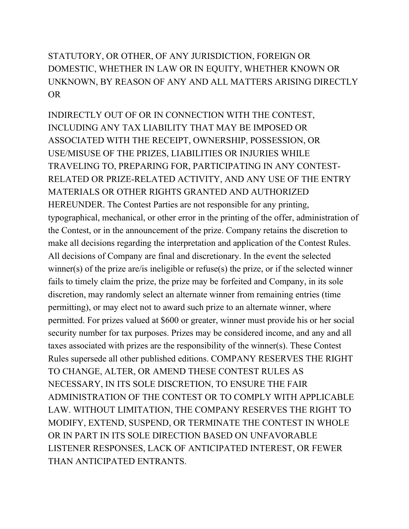STATUTORY, OR OTHER, OF ANY JURISDICTION, FOREIGN OR DOMESTIC, WHETHER IN LAW OR IN EQUITY, WHETHER KNOWN OR UNKNOWN, BY REASON OF ANY AND ALL MATTERS ARISING DIRECTLY OR

INDIRECTLY OUT OF OR IN CONNECTION WITH THE CONTEST, INCLUDING ANY TAX LIABILITY THAT MAY BE IMPOSED OR ASSOCIATED WITH THE RECEIPT, OWNERSHIP, POSSESSION, OR USE/MISUSE OF THE PRIZES, LIABILITIES OR INJURIES WHILE TRAVELING TO, PREPARING FOR, PARTICIPATING IN ANY CONTEST-RELATED OR PRIZE-RELATED ACTIVITY, AND ANY USE OF THE ENTRY MATERIALS OR OTHER RIGHTS GRANTED AND AUTHORIZED HEREUNDER. The Contest Parties are not responsible for any printing, typographical, mechanical, or other error in the printing of the offer, administration of the Contest, or in the announcement of the prize. Company retains the discretion to make all decisions regarding the interpretation and application of the Contest Rules. All decisions of Company are final and discretionary. In the event the selected winner(s) of the prize are/is ineligible or refuse(s) the prize, or if the selected winner fails to timely claim the prize, the prize may be forfeited and Company, in its sole discretion, may randomly select an alternate winner from remaining entries (time permitting), or may elect not to award such prize to an alternate winner, where permitted. For prizes valued at \$600 or greater, winner must provide his or her social security number for tax purposes. Prizes may be considered income, and any and all taxes associated with prizes are the responsibility of the winner(s). These Contest Rules supersede all other published editions. COMPANY RESERVES THE RIGHT TO CHANGE, ALTER, OR AMEND THESE CONTEST RULES AS NECESSARY, IN ITS SOLE DISCRETION, TO ENSURE THE FAIR ADMINISTRATION OF THE CONTEST OR TO COMPLY WITH APPLICABLE LAW. WITHOUT LIMITATION, THE COMPANY RESERVES THE RIGHT TO MODIFY, EXTEND, SUSPEND, OR TERMINATE THE CONTEST IN WHOLE OR IN PART IN ITS SOLE DIRECTION BASED ON UNFAVORABLE LISTENER RESPONSES, LACK OF ANTICIPATED INTEREST, OR FEWER THAN ANTICIPATED ENTRANTS.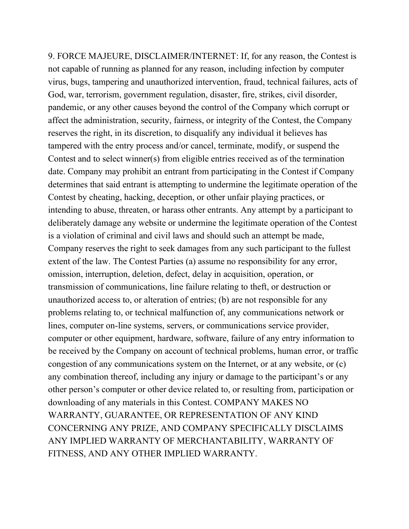9. FORCE MAJEURE, DISCLAIMER/INTERNET: If, for any reason, the Contest is not capable of running as planned for any reason, including infection by computer virus, bugs, tampering and unauthorized intervention, fraud, technical failures, acts of God, war, terrorism, government regulation, disaster, fire, strikes, civil disorder, pandemic, or any other causes beyond the control of the Company which corrupt or affect the administration, security, fairness, or integrity of the Contest, the Company reserves the right, in its discretion, to disqualify any individual it believes has tampered with the entry process and/or cancel, terminate, modify, or suspend the Contest and to select winner(s) from eligible entries received as of the termination date. Company may prohibit an entrant from participating in the Contest if Company determines that said entrant is attempting to undermine the legitimate operation of the Contest by cheating, hacking, deception, or other unfair playing practices, or intending to abuse, threaten, or harass other entrants. Any attempt by a participant to deliberately damage any website or undermine the legitimate operation of the Contest is a violation of criminal and civil laws and should such an attempt be made, Company reserves the right to seek damages from any such participant to the fullest extent of the law. The Contest Parties (a) assume no responsibility for any error, omission, interruption, deletion, defect, delay in acquisition, operation, or transmission of communications, line failure relating to theft, or destruction or unauthorized access to, or alteration of entries; (b) are not responsible for any problems relating to, or technical malfunction of, any communications network or lines, computer on-line systems, servers, or communications service provider, computer or other equipment, hardware, software, failure of any entry information to be received by the Company on account of technical problems, human error, or traffic congestion of any communications system on the Internet, or at any website, or (c) any combination thereof, including any injury or damage to the participant's or any other person's computer or other device related to, or resulting from, participation or downloading of any materials in this Contest. COMPANY MAKES NO WARRANTY, GUARANTEE, OR REPRESENTATION OF ANY KIND CONCERNING ANY PRIZE, AND COMPANY SPECIFICALLY DISCLAIMS ANY IMPLIED WARRANTY OF MERCHANTABILITY, WARRANTY OF FITNESS, AND ANY OTHER IMPLIED WARRANTY.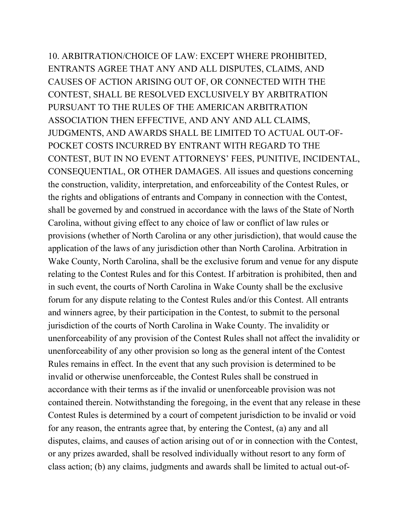10. ARBITRATION/CHOICE OF LAW: EXCEPT WHERE PROHIBITED, ENTRANTS AGREE THAT ANY AND ALL DISPUTES, CLAIMS, AND CAUSES OF ACTION ARISING OUT OF, OR CONNECTED WITH THE CONTEST, SHALL BE RESOLVED EXCLUSIVELY BY ARBITRATION PURSUANT TO THE RULES OF THE AMERICAN ARBITRATION ASSOCIATION THEN EFFECTIVE, AND ANY AND ALL CLAIMS, JUDGMENTS, AND AWARDS SHALL BE LIMITED TO ACTUAL OUT-OF-POCKET COSTS INCURRED BY ENTRANT WITH REGARD TO THE CONTEST, BUT IN NO EVENT ATTORNEYS' FEES, PUNITIVE, INCIDENTAL, CONSEQUENTIAL, OR OTHER DAMAGES. All issues and questions concerning the construction, validity, interpretation, and enforceability of the Contest Rules, or the rights and obligations of entrants and Company in connection with the Contest, shall be governed by and construed in accordance with the laws of the State of North Carolina, without giving effect to any choice of law or conflict of law rules or provisions (whether of North Carolina or any other jurisdiction), that would cause the application of the laws of any jurisdiction other than North Carolina. Arbitration in Wake County, North Carolina, shall be the exclusive forum and venue for any dispute relating to the Contest Rules and for this Contest. If arbitration is prohibited, then and in such event, the courts of North Carolina in Wake County shall be the exclusive forum for any dispute relating to the Contest Rules and/or this Contest. All entrants and winners agree, by their participation in the Contest, to submit to the personal jurisdiction of the courts of North Carolina in Wake County. The invalidity or unenforceability of any provision of the Contest Rules shall not affect the invalidity or unenforceability of any other provision so long as the general intent of the Contest Rules remains in effect. In the event that any such provision is determined to be invalid or otherwise unenforceable, the Contest Rules shall be construed in accordance with their terms as if the invalid or unenforceable provision was not contained therein. Notwithstanding the foregoing, in the event that any release in these Contest Rules is determined by a court of competent jurisdiction to be invalid or void for any reason, the entrants agree that, by entering the Contest, (a) any and all disputes, claims, and causes of action arising out of or in connection with the Contest, or any prizes awarded, shall be resolved individually without resort to any form of class action; (b) any claims, judgments and awards shall be limited to actual out-of-